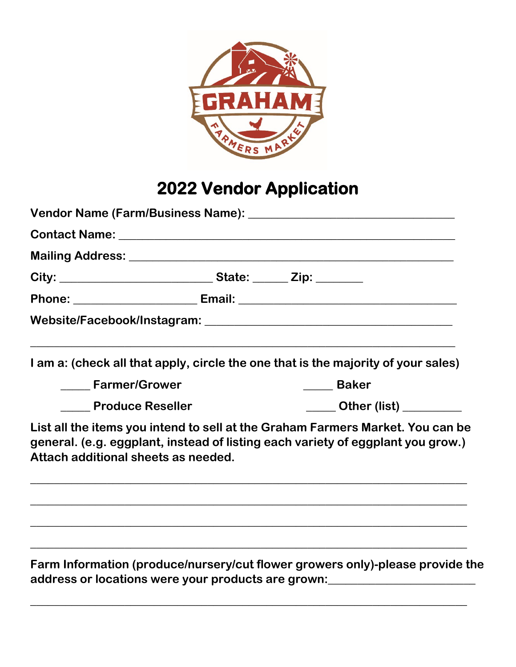

## **2022 Vendor Application**

| City: ___________________________________State: _______ Zip: ________ |                                                                                                                                                                   |  |  |
|-----------------------------------------------------------------------|-------------------------------------------------------------------------------------------------------------------------------------------------------------------|--|--|
|                                                                       |                                                                                                                                                                   |  |  |
|                                                                       |                                                                                                                                                                   |  |  |
|                                                                       | I am a: (check all that apply, circle the one that is the majority of your sales)                                                                                 |  |  |
| <b>Example Transformance Control</b>                                  | <b>Example 1</b>                                                                                                                                                  |  |  |
| <b>Example 2 Produce Reseller</b>                                     | Other (list) ________                                                                                                                                             |  |  |
| Attach additional sheets as needed.                                   | List all the items you intend to sell at the Graham Farmers Market. You can be<br>general. (e.g. eggplant, instead of listing each variety of eggplant you grow.) |  |  |
|                                                                       |                                                                                                                                                                   |  |  |
|                                                                       | ,我们也不会有什么。""我们的人,我们也不会有什么?""我们的人,我们也不会有什么?""我们的人,我们也不会有什么?""我们的人,我们也不会有什么?""我们的人<br>Farm Information (produce/nursery/cut flower growers only)-please provide the |  |  |
|                                                                       | address or locations were your products are grown: _____________________________                                                                                  |  |  |

**\_\_\_\_\_\_\_\_\_\_\_\_\_\_\_\_\_\_\_\_\_\_\_\_\_\_\_\_\_\_\_\_\_\_\_\_\_\_\_\_\_\_\_\_\_\_\_\_\_\_\_\_\_\_\_\_\_\_\_\_\_\_\_\_\_\_\_\_\_\_\_\_\_\_**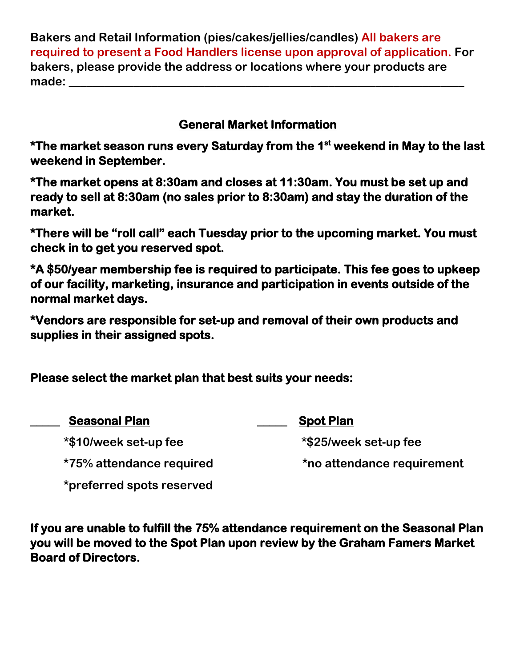**Bakers and Retail Information (pies/cakes/jellies/candles) All bakers are required to present a Food Handlers license upon approval of application. For bakers, please provide the address or locations where your products are**  made: where  $\blacksquare$ 

## **General Market Information**

**\*The market season runs every Saturday from the 1st weekend in May to the last weekend in September.** 

**\*The market opens at 8:30am and closes at 11:30am. You must be set up and ready to sell at 8:30am (no sales prior to 8:30am) and stay the duration of the market.** 

**\*There will be "roll call" each Tuesday prior to the upcoming market. You must check in to get you reserved spot.** 

**\*A \$50/year membership fee is required to participate. This fee goes to upkeep of our facility, marketing, insurance and participation in events outside of the normal market days.** 

**\*Vendors are responsible for set-up and removal of their own products and supplies in their assigned spots.** 

**Please select the market plan that best suits your needs:** 

| <b>Seasonal Plan</b>            | <b>Spot Plan</b>           |
|---------------------------------|----------------------------|
| *\$10/week set-up fee           | *\$25/week set-up fee      |
| <i>*75%</i> attendance required | *no attendance requirement |
| *preferred spots reserved       |                            |

**If you are unable to fulfill the 75% attendance requirement on the Seasonal Plan you will be moved to the Spot Plan upon review by the Graham Famers Market Board of Directors.**